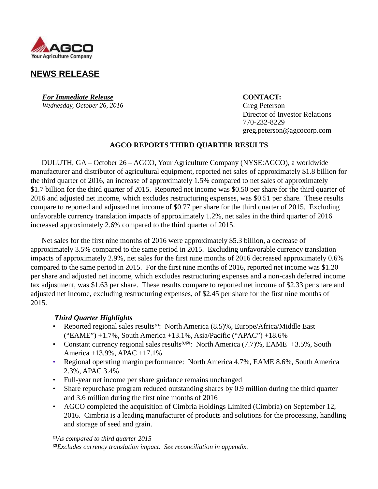

# **NEWS RELEASE**

*For Immediate Release* **CONTACT:** Wednesday, October 26, 2016 Greg Peterson

Director of Investor Relations 770-232-8229 greg.peterson@agcocorp.com

### **AGCO REPORTS THIRD QUARTER RESULTS**

DULUTH, GA – October 26 – AGCO, Your Agriculture Company (NYSE:AGCO), a worldwide manufacturer and distributor of agricultural equipment, reported net sales of approximately \$1.8 billion for the third quarter of 2016, an increase of approximately 1.5% compared to net sales of approximately \$1.7 billion for the third quarter of 2015. Reported net income was \$0.50 per share for the third quarter of 2016 and adjusted net income, which excludes restructuring expenses, was \$0.51 per share. These results compare to reported and adjusted net income of \$0.77 per share for the third quarter of 2015. Excluding unfavorable currency translation impacts of approximately 1.2%, net sales in the third quarter of 2016 increased approximately 2.6% compared to the third quarter of 2015.

Net sales for the first nine months of 2016 were approximately \$5.3 billion, a decrease of approximately 3.5% compared to the same period in 2015. Excluding unfavorable currency translation impacts of approximately 2.9%, net sales for the first nine months of 2016 decreased approximately 0.6% compared to the same period in 2015. For the first nine months of 2016, reported net income was \$1.20 per share and adjusted net income, which excludes restructuring expenses and a non-cash deferred income tax adjustment, was \$1.63 per share. These results compare to reported net income of \$2.33 per share and adjusted net income, excluding restructuring expenses, of \$2.45 per share for the first nine months of 2015.

## *Third Quarter Highlights*

- Reported regional sales results*(1)*: North America (8.5)%, Europe/Africa/Middle East ("EAME") +1.7%, South America +13.1%, Asia/Pacific ("APAC") +18.6%
- Constant currency regional sales results<sup>(1)(2)</sup>: North America (7.7)%, EAME +3.5%, South America +13.9%, APAC +17.1%
- Regional operating margin performance: North America 4.7%, EAME 8.6%, South America 2.3%, APAC 3.4%
- Full-year net income per share guidance remains unchanged
- Share repurchase program reduced outstanding shares by 0.9 million during the third quarter and 3.6 million during the first nine months of 2016
- AGCO completed the acquisition of Cimbria Holdings Limited (Cimbria) on September 12, 2016. Cimbria is a leading manufacturer of products and solutions for the processing, handling and storage of seed and grain.

*(1)As compared to third quarter 2015 (2)Excludes currency translation impact. See reconciliation in appendix.*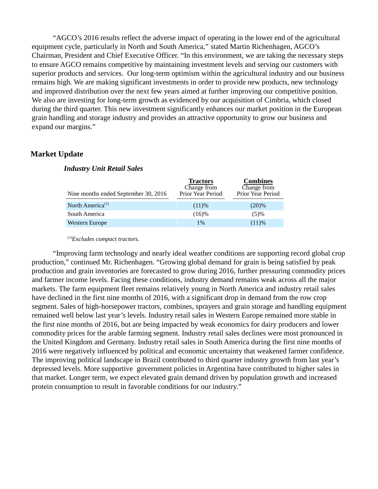"AGCO's 2016 results reflect the adverse impact of operating in the lower end of the agricultural equipment cycle, particularly in North and South America," stated Martin Richenhagen, AGCO's Chairman, President and Chief Executive Officer. "In this environment, we are taking the necessary steps to ensure AGCO remains competitive by maintaining investment levels and serving our customers with superior products and services. Our long-term optimism within the agricultural industry and our business remains high. We are making significant investments in order to provide new products, new technology and improved distribution over the next few years aimed at further improving our competitive position. We also are investing for long-term growth as evidenced by our acquisition of Cimbria, which closed during the third quarter. This new investment significantly enhances our market position in the European grain handling and storage industry and provides an attractive opportunity to grow our business and expand our margins."

## **Market Update**

| Nine months ended September 30, 2016 | <b>Tractors</b><br>Change from<br>Prior Year Period | <b>Combines</b><br>Change from<br>Prior Year Period |
|--------------------------------------|-----------------------------------------------------|-----------------------------------------------------|
| North America <sup>(1)</sup>         | $(11)$ %                                            | $(20)$ %                                            |
| South America                        | $(16)$ %                                            | (5)%                                                |
| Western Europe                       | $1\%$                                               | (11)%                                               |

#### *Industry Unit Retail Sales*

(1)*Excludes compact tractors.*

"Improving farm technology and nearly ideal weather conditions are supporting record global crop production," continued Mr. Richenhagen. "Growing global demand for grain is being satisfied by peak production and grain inventories are forecasted to grow during 2016, further pressuring commodity prices and farmer income levels. Facing these conditions, industry demand remains weak across all the major markets. The farm equipment fleet remains relatively young in North America and industry retail sales have declined in the first nine months of 2016, with a significant drop in demand from the row crop segment. Sales of high-horsepower tractors, combines, sprayers and grain storage and handling equipment remained well below last year's levels. Industry retail sales in Western Europe remained more stable in the first nine months of 2016, but are being impacted by weak economics for dairy producers and lower commodity prices for the arable farming segment. Industry retail sales declines were most pronounced in the United Kingdom and Germany. Industry retail sales in South America during the first nine months of 2016 were negatively influenced by political and economic uncertainty that weakened farmer confidence. The improving political landscape in Brazil contributed to third quarter industry growth from last year's depressed levels. More supportive government policies in Argentina have contributed to higher sales in that market. Longer term, we expect elevated grain demand driven by population growth and increased protein consumption to result in favorable conditions for our industry."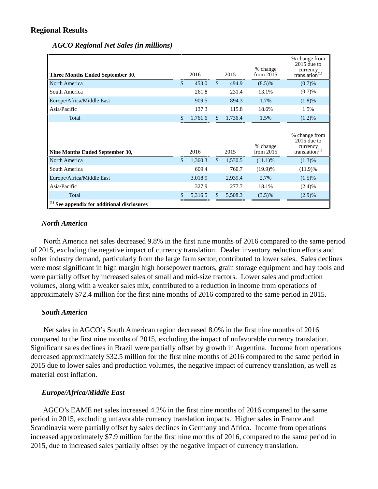# **Regional Results**

*AGCO Regional Net Sales (in millions)*

| Three Months Ended September 30, |              | 2016    |              | 2015    | % change<br>from $2015$ | % change from<br>$2015$ due to<br>currency<br>translation $^{(1)}$ |
|----------------------------------|--------------|---------|--------------|---------|-------------------------|--------------------------------------------------------------------|
| North America                    | $\mathbb{S}$ | 453.0   | $\mathbb{S}$ | 494.9   | $(8.5)\%$               | (0.7)%                                                             |
| South America                    |              | 261.8   |              | 231.4   | 13.1%                   | (0.7)%                                                             |
| Europe/Africa/Middle East        |              | 909.5   |              | 894.3   | 1.7%                    | $(1.8)\%$                                                          |
| Asia/Pacific                     |              | 137.3   |              | 115.8   | 18.6%                   | 1.5%                                                               |
| Total                            | \$           | 1,761.6 | S.           | 1,736.4 | 1.5%                    | $(1.2)\%$                                                          |
| Nine Months Ended September 30,  |              | 2016    |              | 2015    | % change<br>from $2015$ | % change from<br>$2015$ due to<br>currency<br>translation $^{(1)}$ |
| North America                    | $\mathbb{S}$ | 1,360.3 | \$           | 1,530.5 | $(11.1)$ %              | $(1.3)\%$                                                          |
| South America                    |              | 609.4   |              | 760.7   | $(19.9)\%$              | (11.9)%                                                            |
| Europe/Africa/Middle East        |              | 3,018.9 |              | 2,939.4 | 2.7%                    | $(1.5)\%$                                                          |
| Asia/Pacific                     |              | 327.9   |              | 277.7   | 18.1%                   | (2.4)%                                                             |
|                                  |              |         | \$           | 5,508.3 | $(3.5)\%$               | (2.9)%                                                             |
| Total                            | \$           | 5,316.5 |              |         |                         |                                                                    |

### *North America*

North America net sales decreased 9.8% in the first nine months of 2016 compared to the same period of 2015, excluding the negative impact of currency translation. Dealer inventory reduction efforts and softer industry demand, particularly from the large farm sector, contributed to lower sales. Sales declines were most significant in high margin high horsepower tractors, grain storage equipment and hay tools and were partially offset by increased sales of small and mid-size tractors. Lower sales and production volumes, along with a weaker sales mix, contributed to a reduction in income from operations of approximately \$72.4 million for the first nine months of 2016 compared to the same period in 2015.

### *South America*

Net sales in AGCO's South American region decreased 8.0% in the first nine months of 2016 compared to the first nine months of 2015, excluding the impact of unfavorable currency translation. Significant sales declines in Brazil were partially offset by growth in Argentina. Income from operations decreased approximately \$32.5 million for the first nine months of 2016 compared to the same period in 2015 due to lower sales and production volumes, the negative impact of currency translation, as well as material cost inflation.

### *Europe/Africa/Middle East*

AGCO's EAME net sales increased 4.2% in the first nine months of 2016 compared to the same period in 2015, excluding unfavorable currency translation impacts. Higher sales in France and Scandinavia were partially offset by sales declines in Germany and Africa. Income from operations increased approximately \$7.9 million for the first nine months of 2016, compared to the same period in 2015, due to increased sales partially offset by the negative impact of currency translation.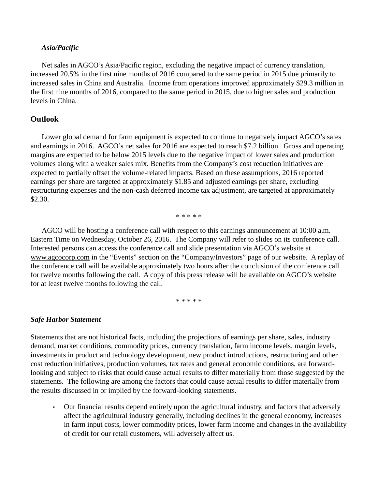### *Asia/Pacific*

Net sales in AGCO's Asia/Pacific region, excluding the negative impact of currency translation, increased 20.5% in the first nine months of 2016 compared to the same period in 2015 due primarily to increased sales in China and Australia. Income from operations improved approximately \$29.3 million in the first nine months of 2016, compared to the same period in 2015, due to higher sales and production levels in China.

## **Outlook**

Lower global demand for farm equipment is expected to continue to negatively impact AGCO's sales and earnings in 2016. AGCO's net sales for 2016 are expected to reach \$7.2 billion. Gross and operating margins are expected to be below 2015 levels due to the negative impact of lower sales and production volumes along with a weaker sales mix. Benefits from the Company's cost reduction initiatives are expected to partially offset the volume-related impacts. Based on these assumptions, 2016 reported earnings per share are targeted at approximately \$1.85 and adjusted earnings per share, excluding restructuring expenses and the non-cash deferred income tax adjustment, are targeted at approximately \$2.30.

\* \* \* \* \*

AGCO will be hosting a conference call with respect to this earnings announcement at 10:00 a.m. Eastern Time on Wednesday, October 26, 2016. The Company will refer to slides on its conference call. Interested persons can access the conference call and slide presentation via AGCO's website at www.agcocorp.com in the "Events" section on the "Company/Investors" page of our website. A replay of the conference call will be available approximately two hours after the conclusion of the conference call for twelve months following the call. A copy of this press release will be available on AGCO's website for at least twelve months following the call.

\* \* \* \* \*

#### *Safe Harbor Statement*

Statements that are not historical facts, including the projections of earnings per share, sales, industry demand, market conditions, commodity prices, currency translation, farm income levels, margin levels, investments in product and technology development, new product introductions, restructuring and other cost reduction initiatives, production volumes, tax rates and general economic conditions, are forwardlooking and subject to risks that could cause actual results to differ materially from those suggested by the statements. The following are among the factors that could cause actual results to differ materially from the results discussed in or implied by the forward-looking statements.

• Our financial results depend entirely upon the agricultural industry, and factors that adversely affect the agricultural industry generally, including declines in the general economy, increases in farm input costs, lower commodity prices, lower farm income and changes in the availability of credit for our retail customers, will adversely affect us.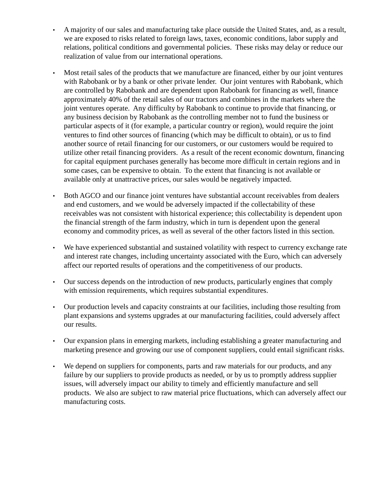- A majority of our sales and manufacturing take place outside the United States, and, as a result, we are exposed to risks related to foreign laws, taxes, economic conditions, labor supply and relations, political conditions and governmental policies. These risks may delay or reduce our realization of value from our international operations.
- Most retail sales of the products that we manufacture are financed, either by our joint ventures with Rabobank or by a bank or other private lender. Our joint ventures with Rabobank, which are controlled by Rabobank and are dependent upon Rabobank for financing as well, finance approximately 40% of the retail sales of our tractors and combines in the markets where the joint ventures operate. Any difficulty by Rabobank to continue to provide that financing, or any business decision by Rabobank as the controlling member not to fund the business or particular aspects of it (for example, a particular country or region), would require the joint ventures to find other sources of financing (which may be difficult to obtain), or us to find another source of retail financing for our customers, or our customers would be required to utilize other retail financing providers. As a result of the recent economic downturn, financing for capital equipment purchases generally has become more difficult in certain regions and in some cases, can be expensive to obtain. To the extent that financing is not available or available only at unattractive prices, our sales would be negatively impacted.
- Both AGCO and our finance joint ventures have substantial account receivables from dealers and end customers, and we would be adversely impacted if the collectability of these receivables was not consistent with historical experience; this collectability is dependent upon the financial strength of the farm industry, which in turn is dependent upon the general economy and commodity prices, as well as several of the other factors listed in this section.
- We have experienced substantial and sustained volatility with respect to currency exchange rate and interest rate changes, including uncertainty associated with the Euro, which can adversely affect our reported results of operations and the competitiveness of our products.
- Our success depends on the introduction of new products, particularly engines that comply with emission requirements, which requires substantial expenditures.
- Our production levels and capacity constraints at our facilities, including those resulting from plant expansions and systems upgrades at our manufacturing facilities, could adversely affect our results.
- Our expansion plans in emerging markets, including establishing a greater manufacturing and marketing presence and growing our use of component suppliers, could entail significant risks.
- We depend on suppliers for components, parts and raw materials for our products, and any failure by our suppliers to provide products as needed, or by us to promptly address supplier issues, will adversely impact our ability to timely and efficiently manufacture and sell products. We also are subject to raw material price fluctuations, which can adversely affect our manufacturing costs.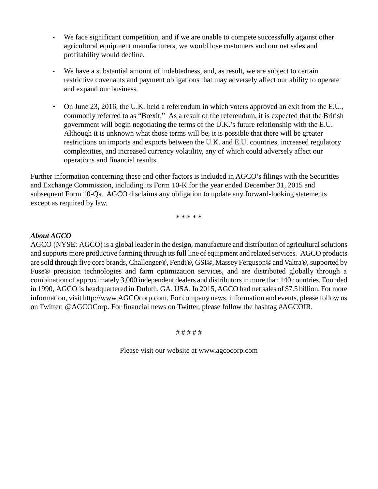- We face significant competition, and if we are unable to compete successfully against other agricultural equipment manufacturers, we would lose customers and our net sales and profitability would decline.
- We have a substantial amount of indebtedness, and, as result, we are subject to certain restrictive covenants and payment obligations that may adversely affect our ability to operate and expand our business.
- On June 23, 2016, the U.K. held a referendum in which voters approved an exit from the E.U., commonly referred to as "Brexit." As a result of the referendum, it is expected that the British government will begin negotiating the terms of the U.K.'s future relationship with the E.U. Although it is unknown what those terms will be, it is possible that there will be greater restrictions on imports and exports between the U.K. and E.U. countries, increased regulatory complexities, and increased currency volatility, any of which could adversely affect our operations and financial results.

Further information concerning these and other factors is included in AGCO's filings with the Securities and Exchange Commission, including its Form 10-K for the year ended December 31, 2015 and subsequent Form 10-Qs. AGCO disclaims any obligation to update any forward-looking statements except as required by law.

\* \* \* \* \*

## *About AGCO*

AGCO (NYSE: AGCO) is a global leader in the design, manufacture and distribution of agricultural solutions and supports more productive farming through its full line of equipment and related services. AGCO products are sold through five core brands, Challenger®, Fendt®, GSI®, Massey Ferguson® and Valtra®, supported by Fuse® precision technologies and farm optimization services, and are distributed globally through a combination of approximately 3,000 independent dealers and distributors in more than 140 countries. Founded in 1990, AGCO is headquartered in Duluth, GA, USA. In 2015, AGCO had net sales of \$7.5 billion. For more information, visit http://www.AGCOcorp.com. For company news, information and events, please follow us on Twitter: @AGCOCorp. For financial news on Twitter, please follow the hashtag #AGCOIR.

# # # # #

Please visit our website at www.agcocorp.com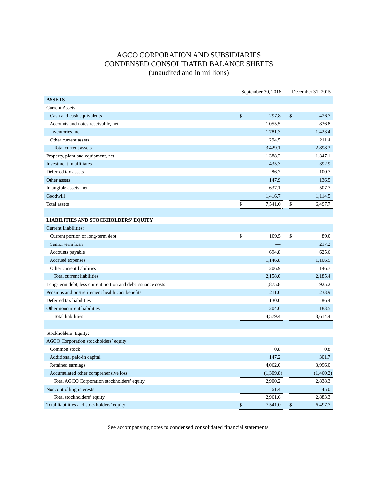# AGCO CORPORATION AND SUBSIDIARIES CONDENSED CONSOLIDATED BALANCE SHEETS (unaudited and in millions)

|                                                              | September 30, 2016 |    |           |
|--------------------------------------------------------------|--------------------|----|-----------|
| <b>ASSETS</b>                                                |                    |    |           |
| <b>Current Assets:</b>                                       |                    |    |           |
| Cash and cash equivalents                                    | \$<br>297.8        | \$ | 426.7     |
| Accounts and notes receivable, net                           | 1,055.5            |    | 836.8     |
| Inventories, net                                             | 1,781.3            |    | 1,423.4   |
| Other current assets                                         | 294.5              |    | 211.4     |
| Total current assets                                         | 3,429.1            |    | 2,898.3   |
| Property, plant and equipment, net                           | 1,388.2            |    | 1,347.1   |
| Investment in affiliates                                     | 435.3              |    | 392.9     |
| Deferred tax assets                                          | 86.7               |    | 100.7     |
| Other assets                                                 | 147.9              |    | 136.5     |
| Intangible assets, net                                       | 637.1              |    | 507.7     |
| Goodwill                                                     | 1,416.7            |    | 1,114.5   |
| <b>Total assets</b>                                          | \$<br>7,541.0      | \$ | 6,497.7   |
| <b>LIABILITIES AND STOCKHOLDERS' EQUITY</b>                  |                    |    |           |
| <b>Current Liabilities:</b>                                  |                    |    |           |
| Current portion of long-term debt                            | \$<br>109.5        | \$ | 89.0      |
| Senior term loan                                             |                    |    | 217.2     |
| Accounts payable                                             | 694.8              |    | 625.6     |
| Accrued expenses                                             | 1,146.8            |    | 1,106.9   |
| Other current liabilities                                    | 206.9              |    | 146.7     |
| Total current liabilities                                    | 2,158.0            |    | 2,185.4   |
| Long-term debt, less current portion and debt issuance costs | 1,875.8            |    | 925.2     |
| Pensions and postretirement health care benefits             | 211.0              |    | 233.9     |
| Deferred tax liabilities                                     | 130.0              |    | 86.4      |
| Other noncurrent liabilities                                 | 204.6              |    | 183.5     |
| <b>Total liabilities</b>                                     | 4,579.4            |    | 3,614.4   |
| Stockholders' Equity:                                        |                    |    |           |
| AGCO Corporation stockholders' equity:                       |                    |    |           |
| Common stock                                                 | 0.8                |    | 0.8       |
| Additional paid-in capital                                   | 147.2              |    | 301.7     |
| Retained earnings                                            | 4,062.0            |    | 3,996.0   |
| Accumulated other comprehensive loss                         | (1,309.8)          |    | (1,460.2) |
| Total AGCO Corporation stockholders' equity                  | 2,900.2            |    | 2,838.3   |
|                                                              | 61.4               |    | 45.0      |
| Noncontrolling interests<br>Total stockholders' equity       | 2,961.6            |    | 2,883.3   |
| Total liabilities and stockholders' equity                   | \$<br>7,541.0      | \$ | 6,497.7   |
|                                                              |                    |    |           |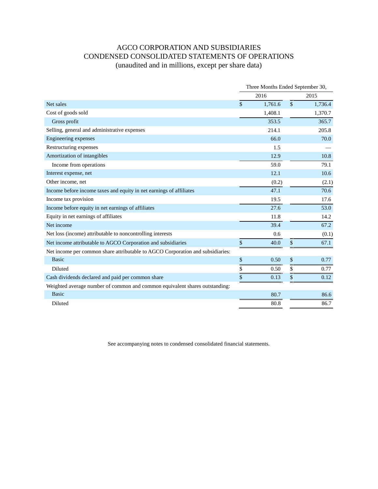# AGCO CORPORATION AND SUBSIDIARIES CONDENSED CONSOLIDATED STATEMENTS OF OPERATIONS (unaudited and in millions, except per share data)

|                                                                                | Three Months Ended September 30, |         |              |         |  |
|--------------------------------------------------------------------------------|----------------------------------|---------|--------------|---------|--|
|                                                                                |                                  | 2016    |              | 2015    |  |
| Net sales                                                                      | $\mathbb{S}$                     | 1,761.6 | $\mathbb{S}$ | 1,736.4 |  |
| Cost of goods sold                                                             |                                  | 1,408.1 |              | 1,370.7 |  |
| Gross profit                                                                   |                                  | 353.5   |              | 365.7   |  |
| Selling, general and administrative expenses                                   |                                  | 214.1   |              | 205.8   |  |
| Engineering expenses                                                           |                                  | 66.0    |              | 70.0    |  |
| Restructuring expenses                                                         |                                  | 1.5     |              |         |  |
| Amortization of intangibles                                                    |                                  | 12.9    |              | 10.8    |  |
| Income from operations                                                         |                                  | 59.0    |              | 79.1    |  |
| Interest expense, net                                                          |                                  | 12.1    |              | 10.6    |  |
| Other income, net                                                              |                                  | (0.2)   |              | (2.1)   |  |
| Income before income taxes and equity in net earnings of affiliates            |                                  | 47.1    |              | 70.6    |  |
| Income tax provision                                                           |                                  | 19.5    |              | 17.6    |  |
| Income before equity in net earnings of affiliates                             |                                  | 27.6    |              | 53.0    |  |
| Equity in net earnings of affiliates                                           |                                  | 11.8    |              | 14.2    |  |
| Net income                                                                     |                                  | 39.4    |              | 67.2    |  |
| Net loss (income) attributable to noncontrolling interests                     |                                  | 0.6     |              | (0.1)   |  |
| Net income attributable to AGCO Corporation and subsidiaries                   | \$                               | 40.0    | \$           | 67.1    |  |
| Net income per common share attributable to AGCO Corporation and subsidiaries: |                                  |         |              |         |  |
| <b>Basic</b>                                                                   | \$                               | 0.50    | \$           | 0.77    |  |
| Diluted                                                                        | \$                               | 0.50    | \$           | 0.77    |  |
| Cash dividends declared and paid per common share                              | \$                               | 0.13    | \$           | 0.12    |  |
| Weighted average number of common and common equivalent shares outstanding:    |                                  |         |              |         |  |
| Basic                                                                          |                                  | 80.7    |              | 86.6    |  |
| Diluted                                                                        |                                  | 80.8    |              | 86.7    |  |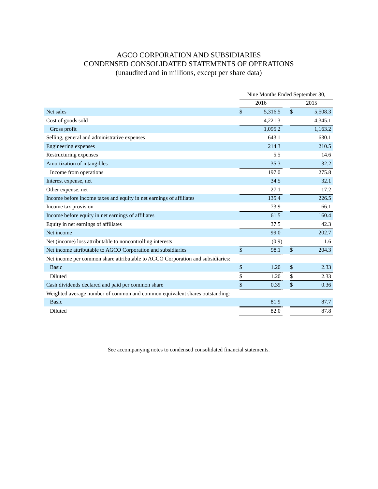# AGCO CORPORATION AND SUBSIDIARIES CONDENSED CONSOLIDATED STATEMENTS OF OPERATIONS (unaudited and in millions, except per share data)

|                                                                                | Nine Months Ended September 30, |         |                    |         |  |  |  |
|--------------------------------------------------------------------------------|---------------------------------|---------|--------------------|---------|--|--|--|
|                                                                                |                                 | 2016    |                    | 2015    |  |  |  |
| Net sales                                                                      | $\mathbb{S}$                    | 5,316.5 | $\mathbf{\hat{S}}$ | 5,508.3 |  |  |  |
| Cost of goods sold                                                             |                                 | 4,221.3 |                    | 4,345.1 |  |  |  |
| Gross profit                                                                   |                                 | 1,095.2 |                    | 1,163.2 |  |  |  |
| Selling, general and administrative expenses                                   |                                 | 643.1   |                    | 630.1   |  |  |  |
| Engineering expenses                                                           |                                 | 214.3   |                    | 210.5   |  |  |  |
| Restructuring expenses                                                         |                                 | 5.5     |                    | 14.6    |  |  |  |
| Amortization of intangibles                                                    |                                 | 35.3    |                    | 32.2    |  |  |  |
| Income from operations                                                         |                                 | 197.0   |                    | 275.8   |  |  |  |
| Interest expense, net                                                          |                                 | 34.5    |                    | 32.1    |  |  |  |
| Other expense, net                                                             |                                 | 27.1    |                    | 17.2    |  |  |  |
| Income before income taxes and equity in net earnings of affiliates            |                                 | 135.4   |                    | 226.5   |  |  |  |
| Income tax provision                                                           |                                 | 73.9    |                    | 66.1    |  |  |  |
| Income before equity in net earnings of affiliates                             |                                 | 61.5    |                    | 160.4   |  |  |  |
| Equity in net earnings of affiliates                                           |                                 | 37.5    |                    | 42.3    |  |  |  |
| Net income                                                                     |                                 | 99.0    |                    | 202.7   |  |  |  |
| Net (income) loss attributable to noncontrolling interests                     |                                 | (0.9)   |                    | 1.6     |  |  |  |
| Net income attributable to AGCO Corporation and subsidiaries                   | $\$$                            | 98.1    | $\$$               | 204.3   |  |  |  |
| Net income per common share attributable to AGCO Corporation and subsidiaries: |                                 |         |                    |         |  |  |  |
| <b>Basic</b>                                                                   | $\$$                            | 1.20    | \$                 | 2.33    |  |  |  |
| Diluted                                                                        | \$                              | 1.20    | \$                 | 2.33    |  |  |  |
| Cash dividends declared and paid per common share                              | \$                              | 0.39    | \$                 | 0.36    |  |  |  |
| Weighted average number of common and common equivalent shares outstanding:    |                                 |         |                    |         |  |  |  |
| <b>Basic</b>                                                                   |                                 | 81.9    |                    | 87.7    |  |  |  |
| Diluted                                                                        |                                 | 82.0    |                    | 87.8    |  |  |  |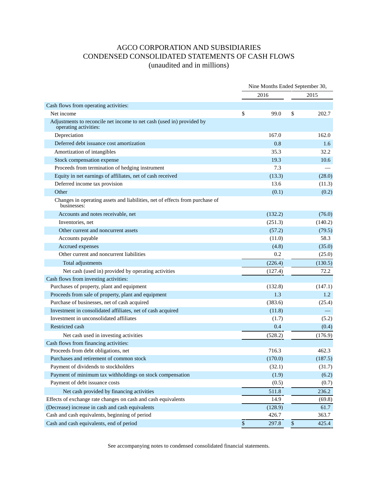# AGCO CORPORATION AND SUBSIDIARIES CONDENSED CONSOLIDATED STATEMENTS OF CASH FLOWS (unaudited and in millions)

|                                                                                                |    |         | Nine Months Ended September 30, |         |  |
|------------------------------------------------------------------------------------------------|----|---------|---------------------------------|---------|--|
|                                                                                                |    | 2016    |                                 | 2015    |  |
| Cash flows from operating activities:                                                          |    |         |                                 |         |  |
| Net income                                                                                     | \$ | 99.0    | \$                              | 202.7   |  |
| Adjustments to reconcile net income to net cash (used in) provided by<br>operating activities: |    |         |                                 |         |  |
| Depreciation                                                                                   |    | 167.0   |                                 | 162.0   |  |
| Deferred debt issuance cost amortization                                                       |    | 0.8     |                                 | 1.6     |  |
| Amortization of intangibles                                                                    |    | 35.3    |                                 | 32.2    |  |
| Stock compensation expense                                                                     |    | 19.3    |                                 | 10.6    |  |
| Proceeds from termination of hedging instrument                                                |    | 7.3     |                                 |         |  |
| Equity in net earnings of affiliates, net of cash received                                     |    | (13.3)  |                                 | (28.0)  |  |
| Deferred income tax provision                                                                  |    | 13.6    |                                 | (11.3)  |  |
| Other                                                                                          |    | (0.1)   |                                 | (0.2)   |  |
| Changes in operating assets and liabilities, net of effects from purchase of<br>businesses:    |    |         |                                 |         |  |
| Accounts and notes receivable, net                                                             |    | (132.2) |                                 | (76.0)  |  |
| Inventories, net                                                                               |    | (251.3) |                                 | (140.2) |  |
| Other current and noncurrent assets                                                            |    | (57.2)  |                                 | (79.5)  |  |
| Accounts payable                                                                               |    | (11.0)  |                                 | 58.3    |  |
| Accrued expenses                                                                               |    | (4.8)   |                                 | (35.0)  |  |
| Other current and noncurrent liabilities                                                       |    | 0.2     |                                 | (25.0)  |  |
| Total adjustments                                                                              |    | (226.4) |                                 | (130.5) |  |
| Net cash (used in) provided by operating activities                                            |    | (127.4) |                                 | 72.2    |  |
| Cash flows from investing activities:                                                          |    |         |                                 |         |  |
| Purchases of property, plant and equipment                                                     |    | (132.8) |                                 | (147.1) |  |
| Proceeds from sale of property, plant and equipment                                            |    | 1.3     |                                 | 1.2     |  |
| Purchase of businesses, net of cash acquired                                                   |    | (383.6) |                                 | (25.4)  |  |
| Investment in consolidated affiliates, net of cash acquired                                    |    | (11.8)  |                                 |         |  |
| Investment in unconsolidated affiliates                                                        |    | (1.7)   |                                 | (5.2)   |  |
| Restricted cash                                                                                |    | 0.4     |                                 | (0.4)   |  |
| Net cash used in investing activities                                                          |    | (528.2) |                                 | (176.9) |  |
| Cash flows from financing activities:                                                          |    |         |                                 |         |  |
| Proceeds from debt obligations, net                                                            |    | 716.3   |                                 | 462.3   |  |
| Purchases and retirement of common stock                                                       |    | (170.0) |                                 | (187.5) |  |
| Payment of dividends to stockholders                                                           |    | (32.1)  |                                 | (31.7)  |  |
| Payment of minimum tax withholdings on stock compensation                                      |    | (1.9)   |                                 | (6.2)   |  |
| Payment of debt issuance costs                                                                 |    | (0.5)   |                                 | (0.7)   |  |
| Net cash provided by financing activities                                                      |    | 511.8   |                                 | 236.2   |  |
| Effects of exchange rate changes on cash and cash equivalents                                  |    | 14.9    |                                 | (69.8)  |  |
| (Decrease) increase in cash and cash equivalents                                               |    | (128.9) |                                 | 61.7    |  |
| Cash and cash equivalents, beginning of period                                                 |    | 426.7   |                                 | 363.7   |  |
| Cash and cash equivalents, end of period                                                       | \$ | 297.8   | $\mathbb S$                     | 425.4   |  |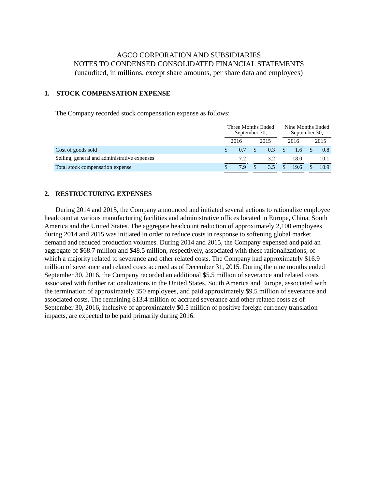## AGCO CORPORATION AND SUBSIDIARIES NOTES TO CONDENSED CONSOLIDATED FINANCIAL STATEMENTS (unaudited, in millions, except share amounts, per share data and employees)

### **1. STOCK COMPENSATION EXPENSE**

The Company recorded stock compensation expense as follows:

|                                              | Three Months Ended<br>September 30, |  |      |      | Nine Months Ended<br>September 30, |      |  |
|----------------------------------------------|-------------------------------------|--|------|------|------------------------------------|------|--|
|                                              | 2016                                |  | 2015 | 2016 |                                    | 2015 |  |
| Cost of goods sold                           | 0.7                                 |  | 0.3  | 1.6  |                                    | 0.8  |  |
| Selling, general and administrative expenses | 7.2                                 |  | 3.2  | 18.0 |                                    | 10.1 |  |
| Total stock compensation expense             | 7.9                                 |  |      | 19.6 |                                    | 10.9 |  |

### **2. RESTRUCTURING EXPENSES**

During 2014 and 2015, the Company announced and initiated several actions to rationalize employee headcount at various manufacturing facilities and administrative offices located in Europe, China, South America and the United States. The aggregate headcount reduction of approximately 2,100 employees during 2014 and 2015 was initiated in order to reduce costs in response to softening global market demand and reduced production volumes. During 2014 and 2015, the Company expensed and paid an aggregate of \$68.7 million and \$48.5 million, respectively, associated with these rationalizations, of which a majority related to severance and other related costs. The Company had approximately \$16.9 million of severance and related costs accrued as of December 31, 2015. During the nine months ended September 30, 2016, the Company recorded an additional \$5.5 million of severance and related costs associated with further rationalizations in the United States, South America and Europe, associated with the termination of approximately 350 employees, and paid approximately \$9.5 million of severance and associated costs. The remaining \$13.4 million of accrued severance and other related costs as of September 30, 2016, inclusive of approximately \$0.5 million of positive foreign currency translation impacts, are expected to be paid primarily during 2016.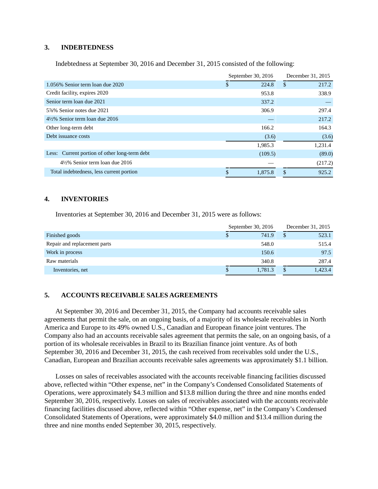#### **3. INDEBTEDNESS**

Indebtedness at September 30, 2016 and December 31, 2015 consisted of the following:

|                                               | September 30, 2016 | December 31, 2015 |
|-----------------------------------------------|--------------------|-------------------|
| 1.056% Senior term loan due 2020              | \$<br>224.8        | \$<br>217.2       |
| Credit facility, expires 2020                 | 953.8              | 338.9             |
| Senior term loan due 2021                     | 337.2              |                   |
| 5 % Senior notes due 2021                     | 306.9              | 297.4             |
| $4\frac{1}{2}\%$ Senior term loan due 2016    |                    | 217.2             |
| Other long-term debt                          | 166.2              | 164.3             |
| Debt issuance costs                           | (3.6)              | (3.6)             |
|                                               | 1,985.3            | 1,231.4           |
| Less: Current portion of other long-term debt | (109.5)            | (89.0)            |
| $4\frac{1}{2}\%$ Senior term loan due 2016    |                    | (217.2)           |
| Total indebtedness, less current portion      | 1,875.8            | 925.2             |

#### **4. INVENTORIES**

Inventories at September 30, 2016 and December 31, 2015 were as follows:

|                              |    | September 30, $2016$ | December 31, 2015 |         |  |
|------------------------------|----|----------------------|-------------------|---------|--|
| Finished goods               | S  | 741.9                |                   | 523.1   |  |
| Repair and replacement parts |    | 548.0                |                   | 515.4   |  |
| Work in process              |    | 150.6                |                   | 97.5    |  |
| Raw materials                |    | 340.8                |                   | 287.4   |  |
| Inventories, net             | \$ | 1.781.3              |                   | 1,423.4 |  |

#### **5. ACCOUNTS RECEIVABLE SALES AGREEMENTS**

At September 30, 2016 and December 31, 2015, the Company had accounts receivable sales agreements that permit the sale, on an ongoing basis, of a majority of its wholesale receivables in North America and Europe to its 49% owned U.S., Canadian and European finance joint ventures. The Company also had an accounts receivable sales agreement that permits the sale, on an ongoing basis, of a portion of its wholesale receivables in Brazil to its Brazilian finance joint venture. As of both September 30, 2016 and December 31, 2015, the cash received from receivables sold under the U.S., Canadian, European and Brazilian accounts receivable sales agreements was approximately \$1.1 billion.

Losses on sales of receivables associated with the accounts receivable financing facilities discussed above, reflected within "Other expense, net" in the Company's Condensed Consolidated Statements of Operations, were approximately \$4.3 million and \$13.8 million during the three and nine months ended September 30, 2016, respectively. Losses on sales of receivables associated with the accounts receivable financing facilities discussed above, reflected within "Other expense, net" in the Company's Condensed Consolidated Statements of Operations, were approximately \$4.0 million and \$13.4 million during the three and nine months ended September 30, 2015, respectively.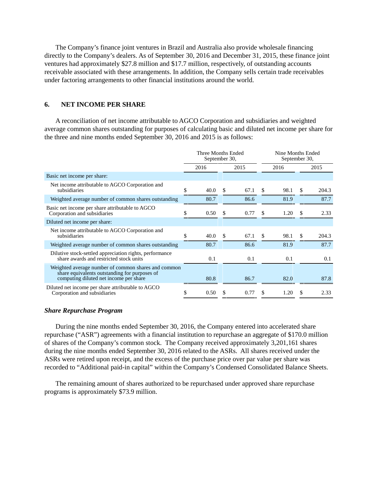The Company's finance joint ventures in Brazil and Australia also provide wholesale financing directly to the Company's dealers. As of September 30, 2016 and December 31, 2015, these finance joint ventures had approximately \$27.8 million and \$17.7 million, respectively, of outstanding accounts receivable associated with these arrangements. In addition, the Company sells certain trade receivables under factoring arrangements to other financial institutions around the world.

#### **6. NET INCOME PER SHARE**

A reconciliation of net income attributable to AGCO Corporation and subsidiaries and weighted average common shares outstanding for purposes of calculating basic and diluted net income per share for the three and nine months ended September 30, 2016 and 2015 is as follows:

|                                                                                                                                                | Three Months Ended<br>September 30, |      |              |      |          |      | Nine Months Ended<br>September 30, |       |  |  |
|------------------------------------------------------------------------------------------------------------------------------------------------|-------------------------------------|------|--------------|------|----------|------|------------------------------------|-------|--|--|
|                                                                                                                                                |                                     | 2016 |              | 2015 |          | 2016 |                                    | 2015  |  |  |
| Basic net income per share:                                                                                                                    |                                     |      |              |      |          |      |                                    |       |  |  |
| Net income attributable to AGCO Corporation and<br>subsidiaries                                                                                | \$                                  | 40.0 | S.           | 67.1 | <b>S</b> | 98.1 | \$.                                | 204.3 |  |  |
| Weighted average number of common shares outstanding                                                                                           |                                     | 80.7 |              | 86.6 |          | 81.9 |                                    | 87.7  |  |  |
| Basic net income per share attributable to AGCO<br>Corporation and subsidiaries                                                                | \$                                  | 0.50 | $\mathbb{S}$ | 0.77 | \$       | 1.20 | -S                                 | 2.33  |  |  |
| Diluted net income per share:                                                                                                                  |                                     |      |              |      |          |      |                                    |       |  |  |
| Net income attributable to AGCO Corporation and<br>subsidiaries                                                                                | \$                                  | 40.0 | \$.          | 67.1 | <b>S</b> | 98.1 | -S                                 | 204.3 |  |  |
| Weighted average number of common shares outstanding                                                                                           |                                     | 80.7 |              | 86.6 |          | 81.9 |                                    | 87.7  |  |  |
| Dilutive stock-settled appreciation rights, performance<br>share awards and restricted stock units                                             |                                     | 0.1  |              | 0.1  |          | 0.1  |                                    | 0.1   |  |  |
| Weighted average number of common shares and common<br>share equivalents outstanding for purposes of<br>computing diluted net income per share |                                     | 80.8 |              | 86.7 |          | 82.0 |                                    | 87.8  |  |  |
| Diluted net income per share attributable to AGCO<br>Corporation and subsidiaries                                                              | \$                                  | 0.50 | \$.          | 0.77 | \$       | 1.20 | \$.                                | 2.33  |  |  |

#### *Share Repurchase Program*

During the nine months ended September 30, 2016, the Company entered into accelerated share repurchase ("ASR") agreements with a financial institution to repurchase an aggregate of \$170.0 million of shares of the Company's common stock. The Company received approximately 3,201,161 shares during the nine months ended September 30, 2016 related to the ASRs. All shares received under the ASRs were retired upon receipt, and the excess of the purchase price over par value per share was recorded to "Additional paid-in capital" within the Company's Condensed Consolidated Balance Sheets.

The remaining amount of shares authorized to be repurchased under approved share repurchase programs is approximately \$73.9 million.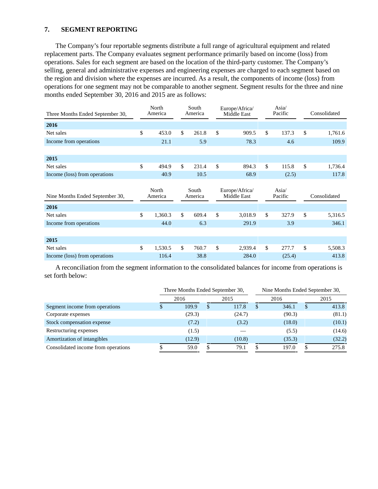#### **7. SEGMENT REPORTING**

The Company's four reportable segments distribute a full range of agricultural equipment and related replacement parts. The Company evaluates segment performance primarily based on income (loss) from operations. Sales for each segment are based on the location of the third-party customer. The Company's selling, general and administrative expenses and engineering expenses are charged to each segment based on the region and division where the expenses are incurred. As a result, the components of income (loss) from operations for one segment may not be comparable to another segment. Segment results for the three and nine months ended September 30, 2016 and 2015 are as follows:

| Three Months Ended September 30, | North<br>America | South<br>America | Europe/Africa/<br>Middle East |                               | Asia $\sqrt{ }$<br>Pacific | Consolidated |              |
|----------------------------------|------------------|------------------|-------------------------------|-------------------------------|----------------------------|--------------|--------------|
| 2016                             |                  |                  |                               |                               |                            |              |              |
| Net sales                        | \$<br>453.0      | \$<br>261.8      | \$                            | 909.5                         | \$<br>137.3                | \$           | 1,761.6      |
| Income from operations           | 21.1             | 5.9              |                               | 78.3                          | 4.6                        |              | 109.9        |
|                                  |                  |                  |                               |                               |                            |              |              |
| 2015                             |                  |                  |                               |                               |                            |              |              |
| Net sales                        | \$<br>494.9      | \$<br>231.4      | \$                            | 894.3                         | \$<br>115.8                | $\mathbb{S}$ | 1,736.4      |
| Income (loss) from operations    | 40.9             | 10.5             |                               | 68.9                          | (2.5)                      |              | 117.8        |
| Nine Months Ended September 30,  | North<br>America | South<br>America |                               | Europe/Africa/<br>Middle East | Asia/<br>Pacific           |              | Consolidated |
| 2016                             |                  |                  |                               |                               |                            |              |              |
| Net sales                        | \$<br>1,360.3    | \$<br>609.4      | \$                            | 3,018.9                       | \$<br>327.9                | \$           | 5,316.5      |
| Income from operations           | 44.0             | 6.3              |                               | 291.9                         | 3.9                        |              | 346.1        |
|                                  |                  |                  |                               |                               |                            |              |              |
| 2015                             |                  |                  |                               |                               |                            |              |              |
| Net sales                        | \$<br>1,530.5    | \$<br>760.7      | \$                            | 2,939.4                       | \$<br>277.7                | \$           | 5,508.3      |
|                                  |                  |                  |                               |                               |                            |              |              |

A reconciliation from the segment information to the consolidated balances for income from operations is set forth below:

|                                     |        |   | Three Months Ended September 30, |   |        |  | Nine Months Ended September 30,<br>2015<br>413.8<br>(81.1) |  |
|-------------------------------------|--------|---|----------------------------------|---|--------|--|------------------------------------------------------------|--|
|                                     | 2016   |   | 2015                             |   | 2016   |  |                                                            |  |
| Segment income from operations      | 109.9  | S | 117.8                            | S | 346.1  |  |                                                            |  |
| Corporate expenses                  | (29.3) |   | (24.7)                           |   | (90.3) |  |                                                            |  |
| Stock compensation expense          | (7.2)  |   | (3.2)                            |   | (18.0) |  | (10.1)                                                     |  |
| Restructuring expenses              | (1.5)  |   |                                  |   | (5.5)  |  | (14.6)                                                     |  |
| Amortization of intangibles         | (12.9) |   | (10.8)                           |   | (35.3) |  | (32.2)                                                     |  |
| Consolidated income from operations | 59.0   |   | 79.1                             |   | 197.0  |  | 275.8                                                      |  |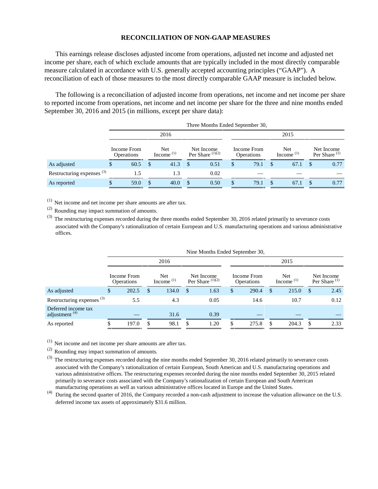#### **RECONCILIATION OF NON-GAAP MEASURES**

This earnings release discloses adjusted income from operations, adjusted net income and adjusted net income per share, each of which exclude amounts that are typically included in the most directly comparable measure calculated in accordance with U.S. generally accepted accounting principles ("GAAP"). A reconciliation of each of those measures to the most directly comparable GAAP measure is included below.

The following is a reconciliation of adjusted income from operations, net income and net income per share to reported income from operations, net income and net income per share for the three and nine months ended September 30, 2016 and 2015 (in millions, except per share data):

|                              |    | Three Months Ended September 30, |      |                     |               |                                  |    |                                  |    |                     |  |                                        |  |  |  |
|------------------------------|----|----------------------------------|------|---------------------|---------------|----------------------------------|----|----------------------------------|----|---------------------|--|----------------------------------------|--|--|--|
|                              |    |                                  | 2016 |                     |               |                                  |    |                                  |    | 2015                |  |                                        |  |  |  |
|                              |    | Income From<br>Operations        |      | Net<br>Income $(1)$ |               | Net Income<br>Per Share $(1)(2)$ |    | Income From<br><b>Operations</b> |    | Net<br>Income $(1)$ |  | Net Income<br>Per Share <sup>(1)</sup> |  |  |  |
| As adjusted                  | \$ | 60.5                             |      | 41.3                | <sup>\$</sup> | 0.51                             | \$ | 79.1                             | \$ | 67.1                |  | 0.77                                   |  |  |  |
| Restructuring expenses $(3)$ |    | 1.5                              |      | 1.3                 |               | 0.02                             |    | __                               |    |                     |  |                                        |  |  |  |
| As reported                  | J  | 59.0                             | \$.  | 40.0                | S             | 0.50                             | \$ | 79.1                             | S  | 67.1                |  | 0.77                                   |  |  |  |

(1) Net income and net income per share amounts are after tax.

(2) Rounding may impact summation of amounts.

 $^{(3)}$  The restructuring expenses recorded during the three months ended September 30, 2016 related primarily to severance costs associated with the Company's rationalization of certain European and U.S. manufacturing operations and various administrative offices.

|                                         | Nine Months Ended September 30,  |   |                     |    |                                  |      |                                  |    |                     |     |                                        |  |  |
|-----------------------------------------|----------------------------------|---|---------------------|----|----------------------------------|------|----------------------------------|----|---------------------|-----|----------------------------------------|--|--|
|                                         |                                  |   | 2016                |    |                                  | 2015 |                                  |    |                     |     |                                        |  |  |
|                                         | Income From<br><b>Operations</b> |   | Net<br>Income $(1)$ |    | Net Income<br>Per Share $(1)(2)$ |      | Income From<br><b>Operations</b> |    | Net<br>Income $(1)$ |     | Net Income<br>Per Share <sup>(1)</sup> |  |  |
| As adjusted                             | \$<br>202.5                      | S | 134.0               | \$ | 1.63                             | \$   | 290.4                            | \$ | 215.0               | -\$ | 2.45                                   |  |  |
| Restructuring expenses <sup>(3)</sup>   | 5.5                              |   | 4.3                 |    | 0.05                             |      | 14.6                             |    | 10.7                |     | 0.12                                   |  |  |
| Deferred income tax<br>adjustment $(4)$ |                                  |   | 31.6                |    | 0.39                             |      |                                  |    |                     |     |                                        |  |  |
| As reported                             | 197.0                            | S | 98.1                | S  | .20                              | \$   | 275.8                            | \$ | 204.3               | S   | 2.33                                   |  |  |

 $(1)$  Net income and net income per share amounts are after tax.

(2) Rounding may impact summation of amounts.

 $^{(3)}$  The restructuring expenses recorded during the nine months ended September 30, 2016 related primarily to severance costs associated with the Company's rationalization of certain European, South American and U.S. manufacturing operations and various administrative offices. The restructuring expenses recorded during the nine months ended September 30, 2015 related primarily to severance costs associated with the Company's rationalization of certain European and South American manufacturing operations as well as various administrative offices located in Europe and the United States.

(4) During the second quarter of 2016, the Company recorded a non-cash adjustment to increase the valuation allowance on the U.S. deferred income tax assets of approximately \$31.6 million.